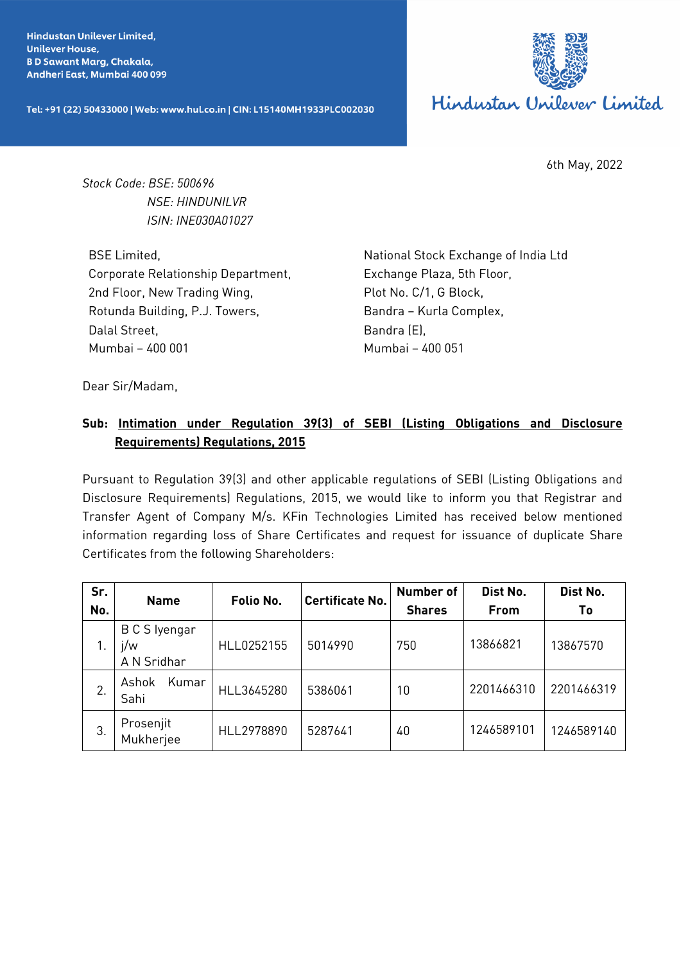**Hindustan Unilever Limited. Unilever House, BD Sawant Marg, Chakala,** Andheri East, Mumbai 400 099

Tel: +91 (22) 50433000 | Web: www.hul.co.in | CIN: L15140MH1933PLC002030



6th May, 2022

*Stock Code: BSE: 500696 NSE: HINDUNILVR ISIN: INE030A01027*

BSE Limited, Corporate Relationship Department, 2nd Floor, New Trading Wing, Rotunda Building, P.J. Towers, Dalal Street, Mumbai – 400 001

National Stock Exchange of India Ltd Exchange Plaza, 5th Floor, Plot No. C/1, G Block, Bandra – Kurla Complex, Bandra (E), Mumbai – 400 051

Dear Sir/Madam,

## **Sub: Intimation under Regulation 39(3) of SEBI (Listing Obligations and Disclosure Requirements) Regulations, 2015**

Pursuant to Regulation 39(3) and other applicable regulations of SEBI (Listing Obligations and Disclosure Requirements) Regulations, 2015, we would like to inform you that Registrar and Transfer Agent of Company M/s. KFin Technologies Limited has received below mentioned information regarding loss of Share Certificates and request for issuance of duplicate Share Certificates from the following Shareholders:

| Sr.<br>No. | <b>Name</b>                         | Folio No.  | <b>Certificate No.</b> | <b>Number of</b><br><b>Shares</b> | Dist No.<br>From | Dist No.<br>Τo |
|------------|-------------------------------------|------------|------------------------|-----------------------------------|------------------|----------------|
|            | B C S Iyengar<br>j/w<br>A N Sridhar | HLL0252155 | 5014990                | 750                               | 13866821         | 13867570       |
| 2.         | Kumar<br>Ashok<br>Sahi              | HLL3645280 | 5386061                | 10                                | 2201466310       | 2201466319     |
| 3.         | Prosenjit<br>Mukherjee              | HLL2978890 | 5287641                | 40                                | 1246589101       | 1246589140     |